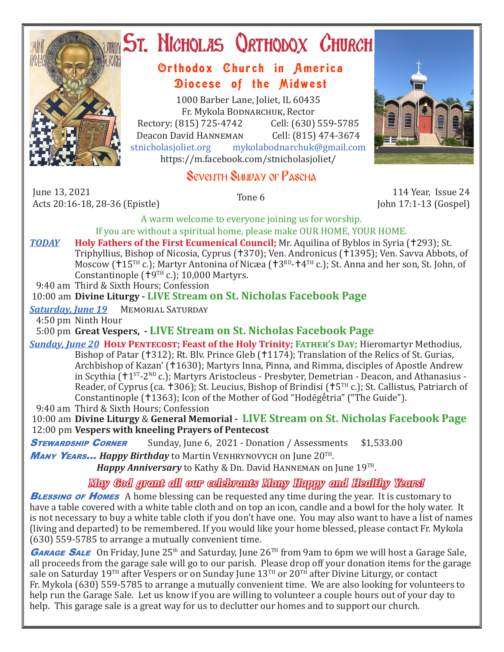

# ST. NICHOLAS QRTHODOX CHURCH

## Orthodox Church in America Diocese of the Midwest

1000 Barber Lane, Joliet, IL 60435 Fr. Mykola Bodnarchuk, Rector<br>315) 725-4742 Cell: (630) 559-5785 Rectory: (815) 725-4742 Cell: (630) 559-5785<br>Deacon David HANNEMAN Cell: (815) 474-3674 Deacon David HANNEMAN<br>stnicholasioliet.org mykola mykolabodnarchuk@gmail.com https://m.facebook.com/stnicholasjoliet/

# Seventh Sunday of Pascha

June 13, 2021 June 13, 2021 114 Year, Issue 24<br>Acts 20:16-18, 28-36 (Epistle) Tone 6 114 Year, Issue 24

John 17:1-13 (Gospel)

A warm welcome to everyone joining us for worship. If you are without a spiritual home, please make OUR HOME, YOUR HOME.

**TODAY Holy Fathers of the First Ecumenical Council;** Mr. Aquilina of Byblos in Syria (†293); St. Triphyllius, Bishop of Nicosia, Cyprus (†370); Ven. Andronicus (†1395); Ven. Savva Abbots, of Moscow ( $115$ <sup>TH</sup> c.); Martyr Antonina of Nicæa ( $13^{RD}$ - $14^{TH}$  c.); St. Anna and her son, St. John, of Constantinople  $(19^{TH} c.)$ ; 10,000 Martyrs.

9:40 am Third & Sixth Hours; Confession

## 10:00 am **Divine Liturgy - LIVE Stream on St. Nicholas Facebook Page**

*Saturday, June 19* Memorial Saturday

4:50 pm Ninth Hour

5:00 pm **Great Vespers, - LIVE Stream on St. Nicholas Facebook Page**

*Sunday, June 20* **Holy Pentecost; Feast of the Holy Trinity; Father's Day;** Hieromartyr Methodius, Bishop of Patar (†312); Rt. Blv. Prince Gleb (†1174); Translation of the Relics of St. Gurias, Archbishop of Kazan' (1630); Martyrs Inna, Pinna, and Rimma, disciples of Apostle Andrew in Scythia  $(11^{ST} - 2^{ND} c.)$ ; Martyrs Aristocleus - Presbyter, Demetrian - Deacon, and Athanasius -Reader, of Cyprus (ca.  $\pm 306$ ); St. Leucius, Bishop of Brindisi ( $\pm 5$ <sup>TH</sup> c.); St. Callistus, Patriarch of Constantinople (†1363); Icon of the Mother of God "Hodēgḗtria" ("The Guide").

9:40 am Third & Sixth Hours; Confession

 10:00 am **Divine Liturgy** & **General Memorial - LIVE Stream on St. Nicholas Facebook Page** 12:00 pm **Vespers with kneeling Prayers of Pentecost**

**STEWARDSHIP CORNER** Sunday, June 6, 2021 - Donation / Assessments \$1,533.00 <sup>M</sup>any Years... *Happy Birthday* to Martin Venhrynovych on June 20TH.

*Happy Anniversary* to Kathy & Dn. David HANNEMAN on June 19<sup>TH</sup>.

## *May God grant all our celebrants Many Happy and Healthy Years!*

**BLESSING OF HOMES** A home blessing can be requested any time during the year. It is customary to have a table covered with a white table cloth and on top an icon, candle and a bowl for the holy water. It is not necessary to buy a white table cloth if you don't have one. You may also want to have a list of names (living and departed) to be remembered. If you would like your home blessed, please contact Fr. Mykola (630) 559-5785 to arrange a mutually convenient time.

**GARAGE SALE** On Friday, June 25<sup>th</sup> and Saturday, June 26<sup>TH</sup> from 9am to 6pm we will host a Garage Sale, all proceeds from the garage sale will go to our parish. Please drop off your donation items for the garage sale on Saturday 19<sup>TH</sup> after Vespers or on Sunday June 13<sup>TH</sup> or 20<sup>TH</sup> after Divine Liturgy, or contact Fr. Mykola (630) 559-5785 to arrange a mutually convenient time. We are also looking for volunteers to help run the Garage Sale. Let us know if you are willing to volunteer a couple hours out of your day to help. This garage sale is a great way for us to declutter our homes and to support our church.